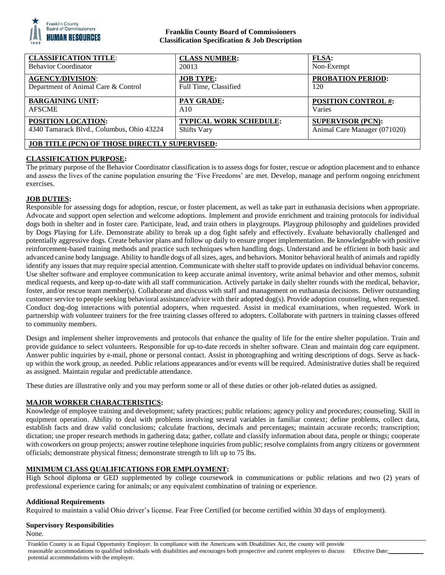

### **Franklin County Board of Commissioners Classification Specification & Job Description**

| <b>CLASSIFICATION TITLE:</b>                         | <b>CLASS NUMBER:</b>          | FLSA:                        |
|------------------------------------------------------|-------------------------------|------------------------------|
| <b>Behavior Coordinator</b>                          | 20013                         | Non-Exempt                   |
| <b>AGENCY/DIVISION:</b>                              | <b>JOB TYPE:</b>              | <b>PROBATION PERIOD:</b>     |
| Department of Animal Care & Control                  | Full Time, Classified         | 120                          |
| <b>BARGAINING UNIT:</b>                              | <b>PAY GRADE:</b>             | <b>POSITION CONTROL #:</b>   |
| <b>AFSCME</b>                                        | A10                           | Varies                       |
| <b>POSITION LOCATION:</b>                            | <b>TYPICAL WORK SCHEDULE:</b> | <b>SUPERVISOR (PCN):</b>     |
| 4340 Tamarack Blvd., Columbus, Ohio 43224            | <b>Shifts Vary</b>            | Animal Care Manager (071020) |
| <b>JOB TITLE (PCN) OF THOSE DIRECTLY SUPERVISED:</b> |                               |                              |

### **CLASSIFICATION PURPOSE:**

The primary purpose of the Behavior Coordinator classification is to assess dogs for foster, rescue or adoption placement and to enhance and assess the lives of the canine population ensuring the 'Five Freedoms' are met. Develop, manage and perform ongoing enrichment exercises.

### **JOB DUTIES:**

Responsible for assessing dogs for adoption, rescue, or foster placement, as well as take part in euthanasia decisions when appropriate. Advocate and support open selection and welcome adoptions. Implement and provide enrichment and training protocols for individual dogs both in shelter and in foster care. Participate, lead, and train others in playgroups. Playgroup philosophy and guidelines provided by Dogs Playing for Life. Demonstrate ability to break up a dog fight safely and effectively. Evaluate behaviorally challenged and potentially aggressive dogs. Create behavior plans and follow up daily to ensure proper implementation. Be knowledgeable with positive reinforcement-based training methods and practice such techniques when handling dogs. Understand and be efficient in both basic and advanced canine body language. Ability to handle dogs of all sizes, ages, and behaviors. Monitor behavioral health of animals and rapidly identify any issues that may require special attention. Communicate with shelter staff to provide updates on individual behavior concerns. Use shelter software and employee communication to keep accurate animal inventory, write animal behavior and other memos, submit medical requests, and keep up-to-date with all staff communication. Actively partake in daily shelter rounds with the medical, behavior, foster, and/or rescue team member(s). Collaborate and discuss with staff and management on euthanasia decisions. Deliver outstanding customer service to people seeking behavioral assistance/advice with their adopted dog(s). Provide adoption counseling, when requested. Conduct dog-dog interactions with potential adopters, when requested. Assist in medical examinations, when requested. Work in partnership with volunteer trainers for the free training classes offered to adopters. Collaborate with partners in training classes offered to community members.

Design and implement shelter improvements and protocols that enhance the quality of life for the entire shelter population. Train and provide guidance to select volunteers. Responsible for up-to-date records in shelter software. Clean and maintain dog care equipment. Answer public inquiries by e-mail, phone or personal contact. Assist in photographing and writing descriptions of dogs. Serve as backup within the work group, as needed. Public relations appearances and/or events will be required. Administrative duties shall be required as assigned. Maintain regular and predictable attendance.

These duties are illustrative only and you may perform some or all of these duties or other job-related duties as assigned.

### **MAJOR WORKER CHARACTERISTICS:**

Knowledge of employee training and development; safety practices; public relations; agency policy and procedures; counseling. Skill in equipment operation. Ability to deal with problems involving several variables in familiar context; define problems, collect data, establish facts and draw valid conclusions; calculate fractions, decimals and percentages; maintain accurate records; transcription; dictation; use proper research methods in gathering data; gather, collate and classify information about data, people or things; cooperate with coworkers on group projects; answer routine telephone inquiries from public; resolve complaints from angry citizens or government officials; demonstrate physical fitness; demonstrate strength to lift up to 75 lbs.

## **MINIMUM CLASS QUALIFICATIONS FOR EMPLOYMENT:**

High School diploma or GED supplemented by college coursework in communications or public relations and two (2) years of professional experience caring for animals; or any equivalent combination of training or experience.

### **Additional Requirements**

Required to maintain a valid Ohio driver's license. Fear Free Certified (or become certified within 30 days of employment).

## **Supervisory Responsibilities**

None.

Franklin County is an Equal Opportunity Employer. In compliance with the Americans with Disabilities Act, the county will provide reasonable accommodations to qualified individuals with disabilities and encourages both prospective and current employees to discuss potential accommodations with the employer.